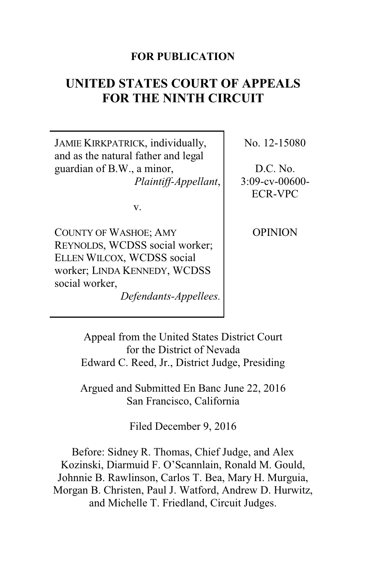## **FOR PUBLICATION**

# **UNITED STATES COURT OF APPEALS FOR THE NINTH CIRCUIT**

JAMIE KIRKPATRICK, individually, and as the natural father and legal guardian of B.W., a minor, *Plaintiff-Appellant*,

v.

COUNTY OF WASHOE; AMY REYNOLDS, WCDSS social worker; ELLEN WILCOX, WCDSS social worker; LINDA KENNEDY, WCDSS social worker,

*Defendants-Appellees.*

No. 12-15080

D.C. No. 3:09-cv-00600- ECR-VPC

**OPINION** 

Appeal from the United States District Court for the District of Nevada Edward C. Reed, Jr., District Judge, Presiding

Argued and Submitted En Banc June 22, 2016 San Francisco, California

Filed December 9, 2016

Before: Sidney R. Thomas, Chief Judge, and Alex Kozinski, Diarmuid F. O'Scannlain, Ronald M. Gould, Johnnie B. Rawlinson, Carlos T. Bea, Mary H. Murguia, Morgan B. Christen, Paul J. Watford, Andrew D. Hurwitz, and Michelle T. Friedland, Circuit Judges.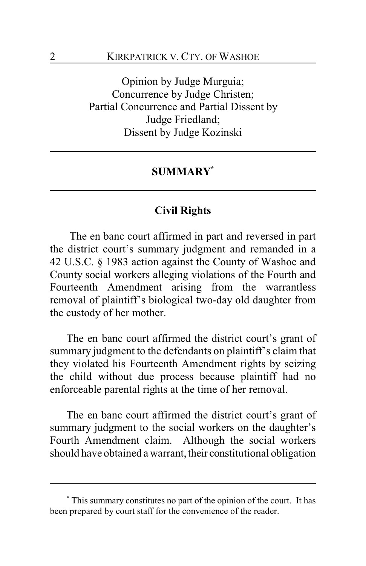Opinion by Judge Murguia; Concurrence by Judge Christen; Partial Concurrence and Partial Dissent by Judge Friedland; Dissent by Judge Kozinski

## **SUMMARY\***

# **Civil Rights**

The en banc court affirmed in part and reversed in part the district court's summary judgment and remanded in a 42 U.S.C. § 1983 action against the County of Washoe and County social workers alleging violations of the Fourth and Fourteenth Amendment arising from the warrantless removal of plaintiff's biological two-day old daughter from the custody of her mother.

The en banc court affirmed the district court's grant of summary judgment to the defendants on plaintiff's claim that they violated his Fourteenth Amendment rights by seizing the child without due process because plaintiff had no enforceable parental rights at the time of her removal.

The en banc court affirmed the district court's grant of summary judgment to the social workers on the daughter's Fourth Amendment claim. Although the social workers should have obtained a warrant, their constitutional obligation

**<sup>\*</sup>** This summary constitutes no part of the opinion of the court. It has been prepared by court staff for the convenience of the reader.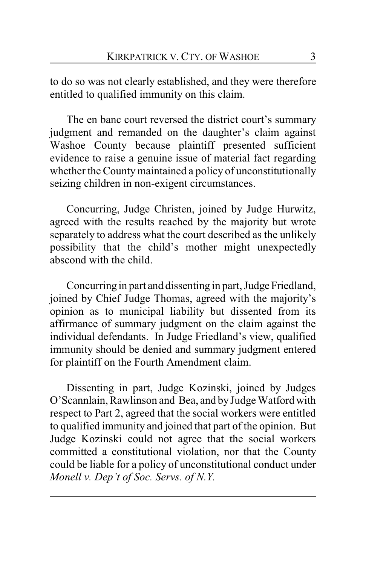to do so was not clearly established, and they were therefore entitled to qualified immunity on this claim.

The en banc court reversed the district court's summary judgment and remanded on the daughter's claim against Washoe County because plaintiff presented sufficient evidence to raise a genuine issue of material fact regarding whether the County maintained a policy of unconstitutionally seizing children in non-exigent circumstances.

Concurring, Judge Christen, joined by Judge Hurwitz, agreed with the results reached by the majority but wrote separately to address what the court described as the unlikely possibility that the child's mother might unexpectedly abscond with the child.

Concurring in part and dissenting in part, Judge Friedland, joined by Chief Judge Thomas, agreed with the majority's opinion as to municipal liability but dissented from its affirmance of summary judgment on the claim against the individual defendants. In Judge Friedland's view, qualified immunity should be denied and summary judgment entered for plaintiff on the Fourth Amendment claim.

Dissenting in part, Judge Kozinski, joined by Judges O'Scannlain, Rawlinson and Bea, and byJudge Watford with respect to Part 2, agreed that the social workers were entitled to qualified immunity and joined that part of the opinion. But Judge Kozinski could not agree that the social workers committed a constitutional violation, nor that the County could be liable for a policy of unconstitutional conduct under *Monell v. Dep't of Soc. Servs. of N.Y.*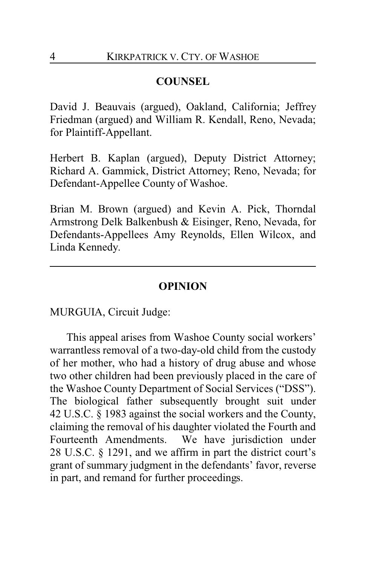## **COUNSEL**

David J. Beauvais (argued), Oakland, California; Jeffrey Friedman (argued) and William R. Kendall, Reno, Nevada; for Plaintiff-Appellant.

Herbert B. Kaplan (argued), Deputy District Attorney; Richard A. Gammick, District Attorney; Reno, Nevada; for Defendant-Appellee County of Washoe.

Brian M. Brown (argued) and Kevin A. Pick, Thorndal Armstrong Delk Balkenbush & Eisinger, Reno, Nevada, for Defendants-Appellees Amy Reynolds, Ellen Wilcox, and Linda Kennedy.

## **OPINION**

MURGUIA, Circuit Judge:

This appeal arises from Washoe County social workers' warrantless removal of a two-day-old child from the custody of her mother, who had a history of drug abuse and whose two other children had been previously placed in the care of the Washoe County Department of Social Services ("DSS"). The biological father subsequently brought suit under 42 U.S.C. § 1983 against the social workers and the County, claiming the removal of his daughter violated the Fourth and Fourteenth Amendments. We have jurisdiction under 28 U.S.C. § 1291, and we affirm in part the district court's grant of summary judgment in the defendants' favor, reverse in part, and remand for further proceedings.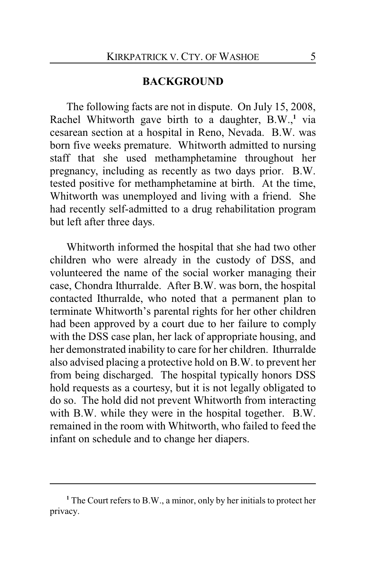#### **BACKGROUND**

The following facts are not in dispute. On July 15, 2008, Rachel Whitworth gave birth to a daughter, B.W., **1** via cesarean section at a hospital in Reno, Nevada. B.W. was born five weeks premature. Whitworth admitted to nursing staff that she used methamphetamine throughout her pregnancy, including as recently as two days prior. B.W. tested positive for methamphetamine at birth. At the time, Whitworth was unemployed and living with a friend. She had recently self-admitted to a drug rehabilitation program but left after three days.

Whitworth informed the hospital that she had two other children who were already in the custody of DSS, and volunteered the name of the social worker managing their case, Chondra Ithurralde. After B.W. was born, the hospital contacted Ithurralde, who noted that a permanent plan to terminate Whitworth's parental rights for her other children had been approved by a court due to her failure to comply with the DSS case plan, her lack of appropriate housing, and her demonstrated inability to care for her children. Ithurralde also advised placing a protective hold on B.W. to prevent her from being discharged. The hospital typically honors DSS hold requests as a courtesy, but it is not legally obligated to do so. The hold did not prevent Whitworth from interacting with B.W. while they were in the hospital together. B.W. remained in the room with Whitworth, who failed to feed the infant on schedule and to change her diapers.

**<sup>1</sup>** The Court refers to B.W., a minor, only by her initials to protect her privacy.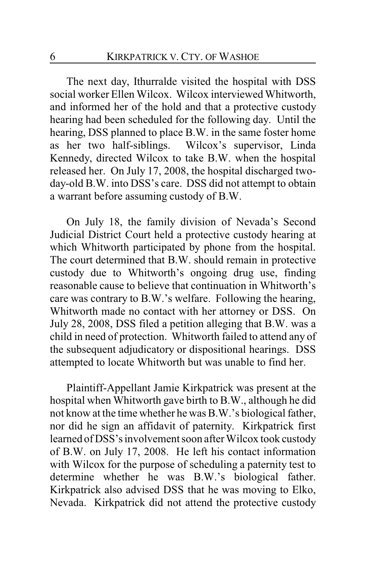The next day, Ithurralde visited the hospital with DSS social worker Ellen Wilcox. Wilcox interviewed Whitworth, and informed her of the hold and that a protective custody hearing had been scheduled for the following day. Until the hearing, DSS planned to place B.W. in the same foster home as her two half-siblings. Wilcox's supervisor, Linda Kennedy, directed Wilcox to take B.W. when the hospital released her. On July 17, 2008, the hospital discharged twoday-old B.W. into DSS's care. DSS did not attempt to obtain a warrant before assuming custody of B.W.

On July 18, the family division of Nevada's Second Judicial District Court held a protective custody hearing at which Whitworth participated by phone from the hospital. The court determined that B.W. should remain in protective custody due to Whitworth's ongoing drug use, finding reasonable cause to believe that continuation in Whitworth's care was contrary to B.W.'s welfare. Following the hearing, Whitworth made no contact with her attorney or DSS. On July 28, 2008, DSS filed a petition alleging that B.W. was a child in need of protection. Whitworth failed to attend any of the subsequent adjudicatory or dispositional hearings. DSS attempted to locate Whitworth but was unable to find her.

Plaintiff-Appellant Jamie Kirkpatrick was present at the hospital when Whitworth gave birth to B.W., although he did not know at the time whether he was B.W.'s biological father, nor did he sign an affidavit of paternity. Kirkpatrick first learned of DSS's involvement soon after Wilcox took custody of B.W. on July 17, 2008. He left his contact information with Wilcox for the purpose of scheduling a paternity test to determine whether he was B.W.'s biological father. Kirkpatrick also advised DSS that he was moving to Elko, Nevada. Kirkpatrick did not attend the protective custody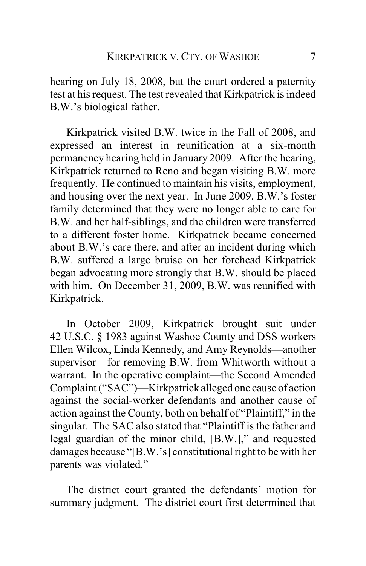hearing on July 18, 2008, but the court ordered a paternity test at his request. The test revealed that Kirkpatrick is indeed B.W.'s biological father.

Kirkpatrick visited B.W. twice in the Fall of 2008, and expressed an interest in reunification at a six-month permanency hearing held in January 2009. After the hearing, Kirkpatrick returned to Reno and began visiting B.W. more frequently. He continued to maintain his visits, employment, and housing over the next year. In June 2009, B.W.'s foster family determined that they were no longer able to care for B.W. and her half-siblings, and the children were transferred to a different foster home. Kirkpatrick became concerned about B.W.'s care there, and after an incident during which B.W. suffered a large bruise on her forehead Kirkpatrick began advocating more strongly that B.W. should be placed with him. On December 31, 2009, B.W. was reunified with Kirkpatrick.

In October 2009, Kirkpatrick brought suit under 42 U.S.C. § 1983 against Washoe County and DSS workers Ellen Wilcox, Linda Kennedy, and Amy Reynolds—another supervisor—for removing B.W. from Whitworth without a warrant. In the operative complaint—the Second Amended Complaint ("SAC")—Kirkpatrick alleged one cause of action against the social-worker defendants and another cause of action against the County, both on behalf of "Plaintiff," in the singular. The SAC also stated that "Plaintiff is the father and legal guardian of the minor child, [B.W.]," and requested damages because "[B.W.'s] constitutional right to be with her parents was violated."

The district court granted the defendants' motion for summary judgment. The district court first determined that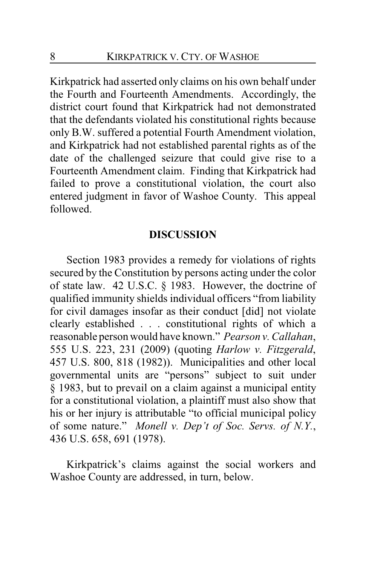Kirkpatrick had asserted only claims on his own behalf under the Fourth and Fourteenth Amendments. Accordingly, the district court found that Kirkpatrick had not demonstrated that the defendants violated his constitutional rights because only B.W. suffered a potential Fourth Amendment violation, and Kirkpatrick had not established parental rights as of the date of the challenged seizure that could give rise to a Fourteenth Amendment claim. Finding that Kirkpatrick had failed to prove a constitutional violation, the court also entered judgment in favor of Washoe County. This appeal followed.

#### **DISCUSSION**

Section 1983 provides a remedy for violations of rights secured by the Constitution by persons acting under the color of state law. 42 U.S.C. § 1983. However, the doctrine of qualified immunity shields individual officers "from liability for civil damages insofar as their conduct [did] not violate clearly established . . . constitutional rights of which a reasonable person would have known." *Pearson v. Callahan*, 555 U.S. 223, 231 (2009) (quoting *Harlow v. Fitzgerald*, 457 U.S. 800, 818 (1982)). Municipalities and other local governmental units are "persons" subject to suit under § 1983, but to prevail on a claim against a municipal entity for a constitutional violation, a plaintiff must also show that his or her injury is attributable "to official municipal policy of some nature." *Monell v. Dep't of Soc. Servs. of N.Y.*, 436 U.S. 658, 691 (1978).

Kirkpatrick's claims against the social workers and Washoe County are addressed, in turn, below.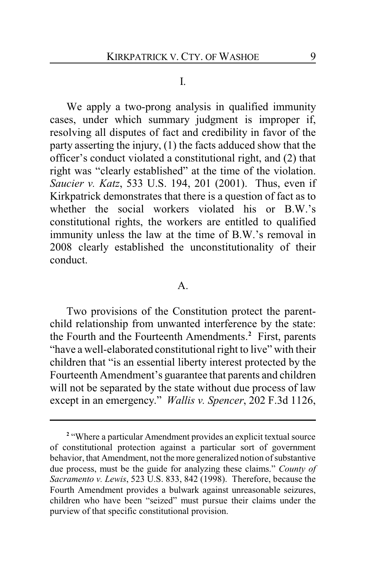## I.

We apply a two-prong analysis in qualified immunity cases, under which summary judgment is improper if, resolving all disputes of fact and credibility in favor of the party asserting the injury, (1) the facts adduced show that the officer's conduct violated a constitutional right, and (2) that right was "clearly established" at the time of the violation. *Saucier v. Katz*, 533 U.S. 194, 201 (2001). Thus, even if Kirkpatrick demonstrates that there is a question of fact as to whether the social workers violated his or B.W.'s constitutional rights, the workers are entitled to qualified immunity unless the law at the time of B.W.'s removal in 2008 clearly established the unconstitutionality of their conduct.

## $\mathsf{A}$ .

Two provisions of the Constitution protect the parentchild relationship from unwanted interference by the state: the Fourth and the Fourteenth Amendments. **<sup>2</sup>** First, parents "have a well-elaborated constitutional right to live" with their children that "is an essential liberty interest protected by the Fourteenth Amendment's guarantee that parents and children will not be separated by the state without due process of law except in an emergency." *Wallis v. Spencer*, 202 F.3d 1126,

<sup>&</sup>lt;sup>2</sup> "Where a particular Amendment provides an explicit textual source of constitutional protection against a particular sort of government behavior, that Amendment, not the more generalized notion of substantive due process, must be the guide for analyzing these claims." *County of Sacramento v. Lewis*, 523 U.S. 833, 842 (1998). Therefore, because the Fourth Amendment provides a bulwark against unreasonable seizures, children who have been "seized" must pursue their claims under the purview of that specific constitutional provision.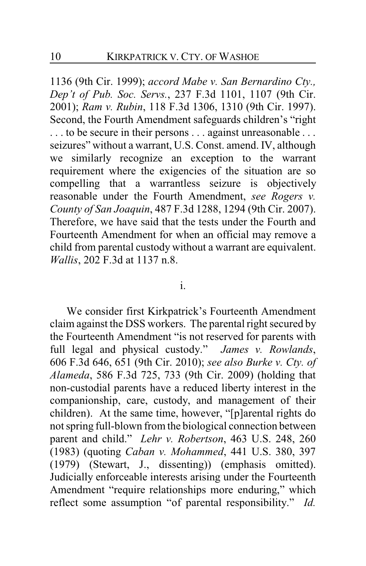1136 (9th Cir. 1999); *accord Mabe v. San Bernardino Cty., Dep't of Pub. Soc. Servs.*, 237 F.3d 1101, 1107 (9th Cir. 2001); *Ram v. Rubin*, 118 F.3d 1306, 1310 (9th Cir. 1997). Second, the Fourth Amendment safeguards children's "right . . . to be secure in their persons . . . against unreasonable . . . seizures" without a warrant, U.S. Const. amend. IV, although we similarly recognize an exception to the warrant requirement where the exigencies of the situation are so compelling that a warrantless seizure is objectively reasonable under the Fourth Amendment, *see Rogers v. County of San Joaquin*, 487 F.3d 1288, 1294 (9th Cir. 2007). Therefore, we have said that the tests under the Fourth and Fourteenth Amendment for when an official may remove a child from parental custody without a warrant are equivalent. *Wallis*, 202 F.3d at 1137 n.8.

i.

We consider first Kirkpatrick's Fourteenth Amendment claim against the DSS workers. The parental right secured by the Fourteenth Amendment "is not reserved for parents with full legal and physical custody." *James v. Rowlands*, 606 F.3d 646, 651 (9th Cir. 2010); *see also Burke v. Cty. of Alameda*, 586 F.3d 725, 733 (9th Cir. 2009) (holding that non-custodial parents have a reduced liberty interest in the companionship, care, custody, and management of their children). At the same time, however, "[p]arental rights do not spring full-blown from the biological connection between parent and child." *Lehr v. Robertson*, 463 U.S. 248, 260 (1983) (quoting *Caban v. Mohammed*, 441 U.S. 380, 397 (1979) (Stewart, J., dissenting)) (emphasis omitted). Judicially enforceable interests arising under the Fourteenth Amendment "require relationships more enduring," which reflect some assumption "of parental responsibility." *Id.*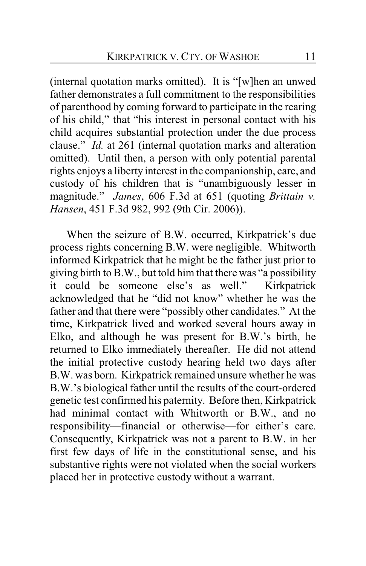(internal quotation marks omitted). It is "[w]hen an unwed father demonstrates a full commitment to the responsibilities of parenthood by coming forward to participate in the rearing of his child," that "his interest in personal contact with his child acquires substantial protection under the due process clause." *Id.* at 261 (internal quotation marks and alteration omitted). Until then, a person with only potential parental rights enjoys a liberty interest in the companionship, care, and custody of his children that is "unambiguously lesser in magnitude." *James*, 606 F.3d at 651 (quoting *Brittain v. Hansen*, 451 F.3d 982, 992 (9th Cir. 2006)).

When the seizure of B.W. occurred, Kirkpatrick's due process rights concerning B.W. were negligible. Whitworth informed Kirkpatrick that he might be the father just prior to giving birth to B.W., but told him that there was "a possibility it could be someone else's as well." Kirkpatrick acknowledged that he "did not know" whether he was the father and that there were "possibly other candidates." At the time, Kirkpatrick lived and worked several hours away in Elko, and although he was present for B.W.'s birth, he returned to Elko immediately thereafter. He did not attend the initial protective custody hearing held two days after B.W. was born. Kirkpatrick remained unsure whether he was B.W.'s biological father until the results of the court-ordered genetic test confirmed his paternity. Before then, Kirkpatrick had minimal contact with Whitworth or B.W., and no responsibility—financial or otherwise—for either's care. Consequently, Kirkpatrick was not a parent to B.W. in her first few days of life in the constitutional sense, and his substantive rights were not violated when the social workers placed her in protective custody without a warrant.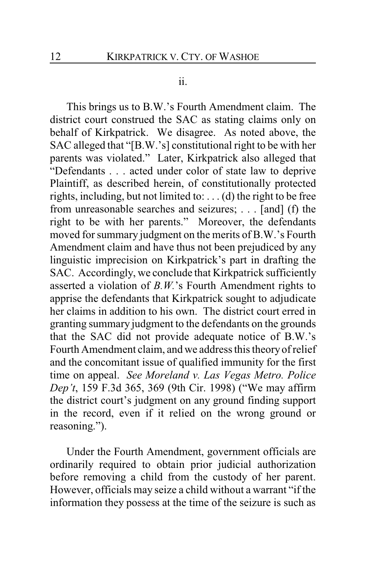#### ii.

This brings us to B.W.'s Fourth Amendment claim. The district court construed the SAC as stating claims only on behalf of Kirkpatrick. We disagree. As noted above, the SAC alleged that "[B.W.'s] constitutional right to be with her parents was violated." Later, Kirkpatrick also alleged that "Defendants . . . acted under color of state law to deprive Plaintiff, as described herein, of constitutionally protected rights, including, but not limited to: . . . (d) the right to be free from unreasonable searches and seizures; . . . [and] (f) the right to be with her parents." Moreover, the defendants moved for summary judgment on the merits of B.W.'s Fourth Amendment claim and have thus not been prejudiced by any linguistic imprecision on Kirkpatrick's part in drafting the SAC. Accordingly, we conclude that Kirkpatrick sufficiently asserted a violation of *B.W.*'s Fourth Amendment rights to apprise the defendants that Kirkpatrick sought to adjudicate her claims in addition to his own. The district court erred in granting summary judgment to the defendants on the grounds that the SAC did not provide adequate notice of B.W.'s Fourth Amendment claim, and we address this theory of relief and the concomitant issue of qualified immunity for the first time on appeal. *See Moreland v. Las Vegas Metro. Police Dep't*, 159 F.3d 365, 369 (9th Cir. 1998) ("We may affirm the district court's judgment on any ground finding support in the record, even if it relied on the wrong ground or reasoning.").

Under the Fourth Amendment, government officials are ordinarily required to obtain prior judicial authorization before removing a child from the custody of her parent. However, officials may seize a child without a warrant "if the information they possess at the time of the seizure is such as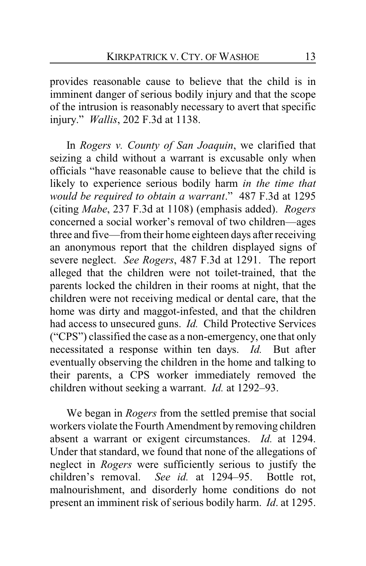provides reasonable cause to believe that the child is in imminent danger of serious bodily injury and that the scope of the intrusion is reasonably necessary to avert that specific injury." *Wallis*, 202 F.3d at 1138.

In *Rogers v. County of San Joaquin*, we clarified that seizing a child without a warrant is excusable only when officials "have reasonable cause to believe that the child is likely to experience serious bodily harm *in the time that would be required to obtain a warrant*." 487 F.3d at 1295 (citing *Mabe*, 237 F.3d at 1108) (emphasis added). *Rogers* concerned a social worker's removal of two children—ages three and five—from their home eighteen days after receiving an anonymous report that the children displayed signs of severe neglect. *See Rogers*, 487 F.3d at 1291. The report alleged that the children were not toilet-trained, that the parents locked the children in their rooms at night, that the children were not receiving medical or dental care, that the home was dirty and maggot-infested, and that the children had access to unsecured guns. *Id.* Child Protective Services ("CPS") classified the case as a non-emergency, one that only necessitated a response within ten days. *Id.* But after eventually observing the children in the home and talking to their parents, a CPS worker immediately removed the children without seeking a warrant. *Id.* at 1292–93.

We began in *Rogers* from the settled premise that social workers violate the Fourth Amendment by removing children absent a warrant or exigent circumstances. *Id.* at 1294. Under that standard, we found that none of the allegations of neglect in *Rogers* were sufficiently serious to justify the children's removal. *See id.* at 1294–95. Bottle rot, malnourishment, and disorderly home conditions do not present an imminent risk of serious bodily harm. *Id*. at 1295.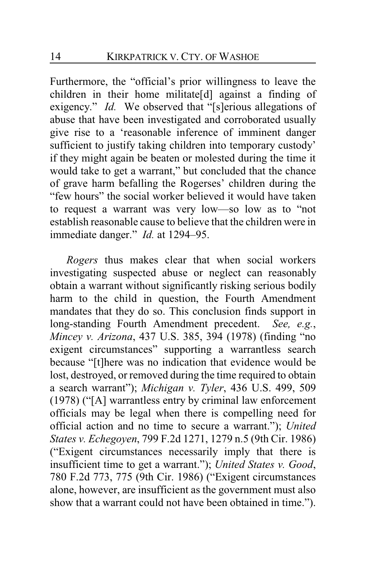Furthermore, the "official's prior willingness to leave the children in their home militate[d] against a finding of exigency." *Id.* We observed that "[s]erious allegations of abuse that have been investigated and corroborated usually give rise to a 'reasonable inference of imminent danger sufficient to justify taking children into temporary custody' if they might again be beaten or molested during the time it would take to get a warrant," but concluded that the chance of grave harm befalling the Rogerses' children during the "few hours" the social worker believed it would have taken to request a warrant was very low—so low as to "not establish reasonable cause to believe that the children were in immediate danger." *Id.* at 1294–95.

*Rogers* thus makes clear that when social workers investigating suspected abuse or neglect can reasonably obtain a warrant without significantly risking serious bodily harm to the child in question, the Fourth Amendment mandates that they do so. This conclusion finds support in long-standing Fourth Amendment precedent. *See, e.g.*, *Mincey v. Arizona*, 437 U.S. 385, 394 (1978) (finding "no exigent circumstances" supporting a warrantless search because "[t]here was no indication that evidence would be lost, destroyed, or removed during the time required to obtain a search warrant"); *Michigan v. Tyler*, 436 U.S. 499, 509 (1978) ("[A] warrantless entry by criminal law enforcement officials may be legal when there is compelling need for official action and no time to secure a warrant."); *United States v. Echegoyen*, 799 F.2d 1271, 1279 n.5 (9th Cir. 1986) ("Exigent circumstances necessarily imply that there is insufficient time to get a warrant."); *United States v. Good*, 780 F.2d 773, 775 (9th Cir. 1986) ("Exigent circumstances alone, however, are insufficient as the government must also show that a warrant could not have been obtained in time.").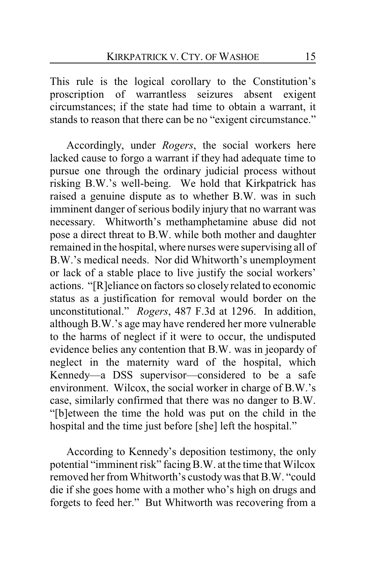This rule is the logical corollary to the Constitution's proscription of warrantless seizures absent exigent circumstances; if the state had time to obtain a warrant, it stands to reason that there can be no "exigent circumstance."

Accordingly, under *Rogers*, the social workers here lacked cause to forgo a warrant if they had adequate time to pursue one through the ordinary judicial process without risking B.W.'s well-being. We hold that Kirkpatrick has raised a genuine dispute as to whether B.W. was in such imminent danger of serious bodily injury that no warrant was necessary. Whitworth's methamphetamine abuse did not pose a direct threat to B.W. while both mother and daughter remained in the hospital, where nurses were supervising all of B.W.'s medical needs. Nor did Whitworth's unemployment or lack of a stable place to live justify the social workers' actions. "[R]eliance on factors so closely related to economic status as a justification for removal would border on the unconstitutional." *Rogers*, 487 F.3d at 1296. In addition, although B.W.'s age may have rendered her more vulnerable to the harms of neglect if it were to occur, the undisputed evidence belies any contention that B.W. was in jeopardy of neglect in the maternity ward of the hospital, which Kennedy—a DSS supervisor—considered to be a safe environment. Wilcox, the social worker in charge of B.W.'s case, similarly confirmed that there was no danger to B.W. "[b]etween the time the hold was put on the child in the hospital and the time just before [she] left the hospital."

According to Kennedy's deposition testimony, the only potential "imminent risk" facingB.W. at the time that Wilcox removed her from Whitworth's custodywas that B.W. "could die if she goes home with a mother who's high on drugs and forgets to feed her." But Whitworth was recovering from a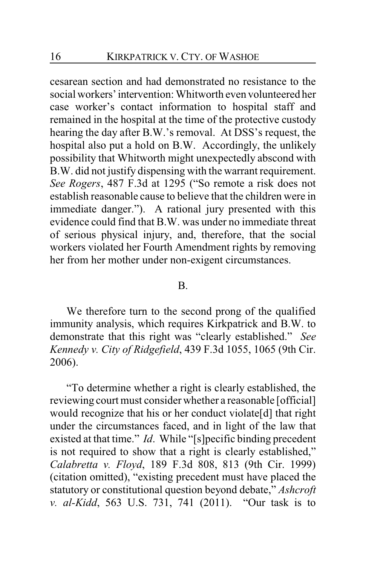cesarean section and had demonstrated no resistance to the social workers'intervention: Whitworth even volunteered her case worker's contact information to hospital staff and remained in the hospital at the time of the protective custody hearing the day after B.W.'s removal. At DSS's request, the hospital also put a hold on B.W. Accordingly, the unlikely possibility that Whitworth might unexpectedly abscond with B.W. did not justify dispensing with the warrant requirement. *See Rogers*, 487 F.3d at 1295 ("So remote a risk does not establish reasonable cause to believe that the children were in immediate danger."). A rational jury presented with this evidence could find that B.W. was under no immediate threat of serious physical injury, and, therefore, that the social workers violated her Fourth Amendment rights by removing her from her mother under non-exigent circumstances.

#### B.

We therefore turn to the second prong of the qualified immunity analysis, which requires Kirkpatrick and B.W. to demonstrate that this right was "clearly established." *See Kennedy v. City of Ridgefield*, 439 F.3d 1055, 1065 (9th Cir. 2006).

"To determine whether a right is clearly established, the reviewing court must consider whether a reasonable [official] would recognize that his or her conduct violate[d] that right under the circumstances faced, and in light of the law that existed at that time." *Id*. While "[s]pecific binding precedent is not required to show that a right is clearly established," *Calabretta v. Floyd*, 189 F.3d 808, 813 (9th Cir. 1999) (citation omitted), "existing precedent must have placed the statutory or constitutional question beyond debate," *Ashcroft v. al-Kidd*, 563 U.S. 731, 741 (2011). "Our task is to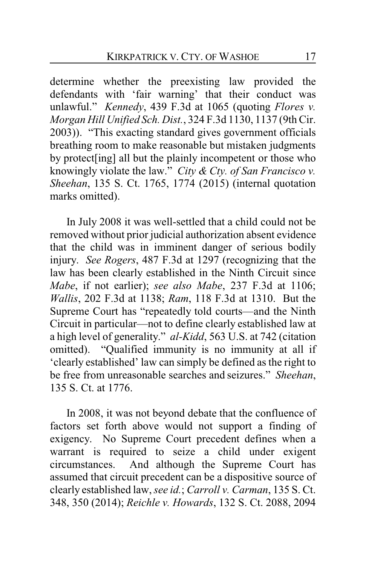determine whether the preexisting law provided the defendants with 'fair warning' that their conduct was unlawful." *Kennedy*, 439 F.3d at 1065 (quoting *Flores v. Morgan Hill Unified Sch. Dist.*, 324 F.3d 1130, 1137 (9th Cir. 2003)). "This exacting standard gives government officials breathing room to make reasonable but mistaken judgments by protect[ing] all but the plainly incompetent or those who knowingly violate the law." *City & Cty. of San Francisco v. Sheehan*, 135 S. Ct. 1765, 1774 (2015) (internal quotation marks omitted).

In July 2008 it was well-settled that a child could not be removed without prior judicial authorization absent evidence that the child was in imminent danger of serious bodily injury. *See Rogers*, 487 F.3d at 1297 (recognizing that the law has been clearly established in the Ninth Circuit since *Mabe*, if not earlier); *see also Mabe*, 237 F.3d at 1106; *Wallis*, 202 F.3d at 1138; *Ram*, 118 F.3d at 1310. But the Supreme Court has "repeatedly told courts—and the Ninth Circuit in particular—not to define clearly established law at a high level of generality." *al-Kidd*, 563 U.S. at 742 (citation omitted). "Qualified immunity is no immunity at all if 'clearly established' law can simply be defined as the right to be free from unreasonable searches and seizures." *Sheehan*, 135 S. Ct. at 1776.

In 2008, it was not beyond debate that the confluence of factors set forth above would not support a finding of exigency. No Supreme Court precedent defines when a warrant is required to seize a child under exigent circumstances. And although the Supreme Court has assumed that circuit precedent can be a dispositive source of clearly established law, *see id.*; *Carroll v. Carman*, 135 S. Ct. 348, 350 (2014); *Reichle v. Howards*, 132 S. Ct. 2088, 2094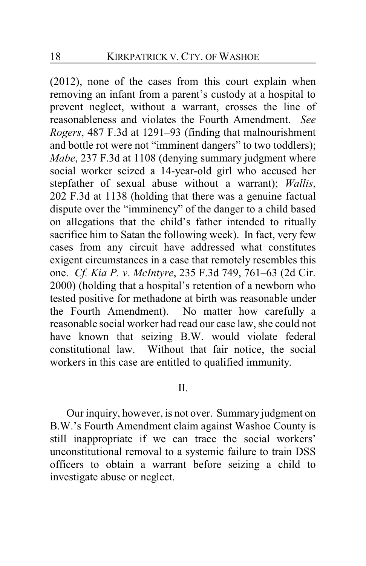(2012), none of the cases from this court explain when removing an infant from a parent's custody at a hospital to prevent neglect, without a warrant, crosses the line of reasonableness and violates the Fourth Amendment. *See Rogers*, 487 F.3d at 1291–93 (finding that malnourishment and bottle rot were not "imminent dangers" to two toddlers); *Mabe*, 237 F.3d at 1108 (denying summary judgment where social worker seized a 14-year-old girl who accused her stepfather of sexual abuse without a warrant); *Wallis*, 202 F.3d at 1138 (holding that there was a genuine factual dispute over the "imminency" of the danger to a child based on allegations that the child's father intended to ritually sacrifice him to Satan the following week). In fact, very few cases from any circuit have addressed what constitutes exigent circumstances in a case that remotely resembles this one. *Cf. Kia P. v. McIntyre*, 235 F.3d 749, 761–63 (2d Cir. 2000) (holding that a hospital's retention of a newborn who tested positive for methadone at birth was reasonable under the Fourth Amendment). No matter how carefully a reasonable social worker had read our case law, she could not have known that seizing B.W. would violate federal constitutional law. Without that fair notice, the social workers in this case are entitled to qualified immunity.

## II.

Our inquiry, however, is not over. Summary judgment on B.W.'s Fourth Amendment claim against Washoe County is still inappropriate if we can trace the social workers' unconstitutional removal to a systemic failure to train DSS officers to obtain a warrant before seizing a child to investigate abuse or neglect.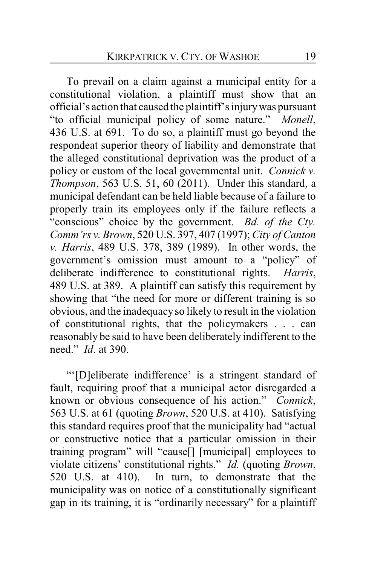To prevail on a claim against a municipal entity for a constitutional violation, a plaintiff must show that an official's action that caused the plaintiff's injurywas pursuant "to official municipal policy of some nature." *Monell*, 436 U.S. at 691. To do so, a plaintiff must go beyond the respondeat superior theory of liability and demonstrate that the alleged constitutional deprivation was the product of a policy or custom of the local governmental unit. *Connick v. Thompson*, 563 U.S. 51, 60 (2011). Under this standard, a municipal defendant can be held liable because of a failure to properly train its employees only if the failure reflects a "conscious" choice by the government. *Bd. of the Cty. Comm'rs v. Brown*, 520 U.S. 397, 407 (1997); *City of Canton v. Harris*, 489 U.S. 378, 389 (1989). In other words, the government's omission must amount to a "policy" of deliberate indifference to constitutional rights. *Harris*, 489 U.S. at 389. A plaintiff can satisfy this requirement by showing that "the need for more or different training is so obvious, and the inadequacyso likely to result in the violation of constitutional rights, that the policymakers . . . can reasonably be said to have been deliberately indifferent to the need." *Id*. at 390.

"'[D]eliberate indifference' is a stringent standard of fault, requiring proof that a municipal actor disregarded a known or obvious consequence of his action." *Connick*, 563 U.S. at 61 (quoting *Brown*, 520 U.S. at 410). Satisfying this standard requires proof that the municipality had "actual or constructive notice that a particular omission in their training program" will "cause[] [municipal] employees to violate citizens' constitutional rights." *Id.* (quoting *Brown*, 520 U.S. at 410). In turn, to demonstrate that the municipality was on notice of a constitutionally significant gap in its training, it is "ordinarily necessary" for a plaintiff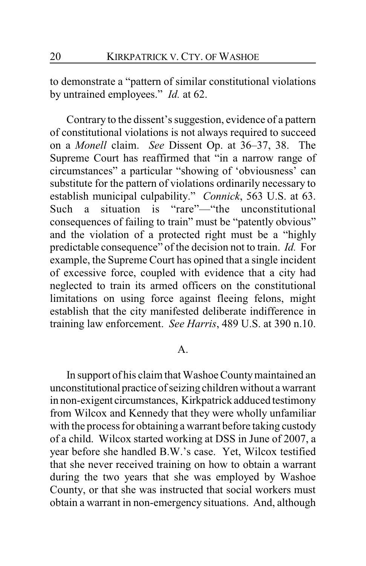to demonstrate a "pattern of similar constitutional violations by untrained employees." *Id.* at 62.

Contrary to the dissent's suggestion, evidence of a pattern of constitutional violations is not always required to succeed on a *Monell* claim. *See* Dissent Op. at 36–37, 38. The Supreme Court has reaffirmed that "in a narrow range of circumstances" a particular "showing of 'obviousness' can substitute for the pattern of violations ordinarily necessary to establish municipal culpability." *Connick*, 563 U.S. at 63. Such a situation is "rare"—"the unconstitutional consequences of failing to train" must be "patently obvious" and the violation of a protected right must be a "highly predictable consequence" of the decision not to train. *Id.* For example, the Supreme Court has opined that a single incident of excessive force, coupled with evidence that a city had neglected to train its armed officers on the constitutional limitations on using force against fleeing felons, might establish that the city manifested deliberate indifference in training law enforcement. *See Harris*, 489 U.S. at 390 n.10.

#### A.

In support of his claim that Washoe Countymaintained an unconstitutional practice of seizing children without a warrant in non-exigent circumstances, Kirkpatrick adduced testimony from Wilcox and Kennedy that they were wholly unfamiliar with the process for obtaining a warrant before taking custody of a child. Wilcox started working at DSS in June of 2007, a year before she handled B.W.'s case. Yet, Wilcox testified that she never received training on how to obtain a warrant during the two years that she was employed by Washoe County, or that she was instructed that social workers must obtain a warrant in non-emergency situations. And, although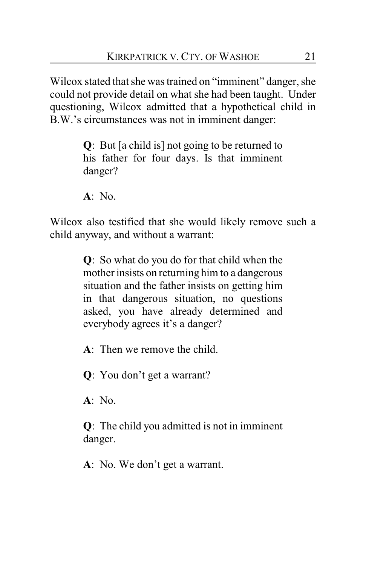Wilcox stated that she was trained on "imminent" danger, she could not provide detail on what she had been taught. Under questioning, Wilcox admitted that a hypothetical child in B.W.'s circumstances was not in imminent danger:

> **Q**: But [a child is] not going to be returned to his father for four days. Is that imminent danger?

**A**: No.

Wilcox also testified that she would likely remove such a child anyway, and without a warrant:

> **Q**: So what do you do for that child when the mother insists on returning him to a dangerous situation and the father insists on getting him in that dangerous situation, no questions asked, you have already determined and everybody agrees it's a danger?

**A**: Then we remove the child.

**Q**: You don't get a warrant?

**A**: No.

**Q**: The child you admitted is not in imminent danger.

**A**: No. We don't get a warrant.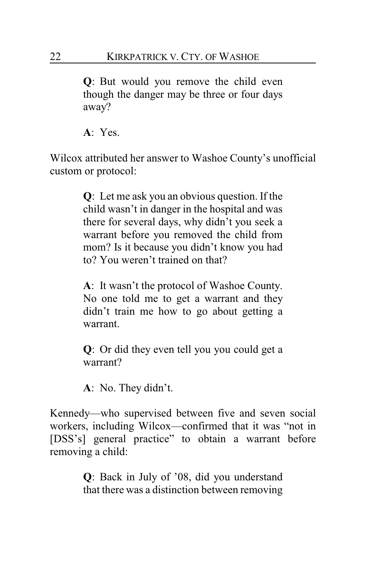**Q**: But would you remove the child even though the danger may be three or four days away?

**A**: Yes.

Wilcox attributed her answer to Washoe County's unofficial custom or protocol:

> **Q**: Let me ask you an obvious question. If the child wasn't in danger in the hospital and was there for several days, why didn't you seek a warrant before you removed the child from mom? Is it because you didn't know you had to? You weren't trained on that?

> **A**: It wasn't the protocol of Washoe County. No one told me to get a warrant and they didn't train me how to go about getting a warrant.

> **Q**: Or did they even tell you you could get a warrant?

**A**: No. They didn't.

Kennedy—who supervised between five and seven social workers, including Wilcox—confirmed that it was "not in [DSS's] general practice" to obtain a warrant before removing a child:

> **Q**: Back in July of '08, did you understand that there was a distinction between removing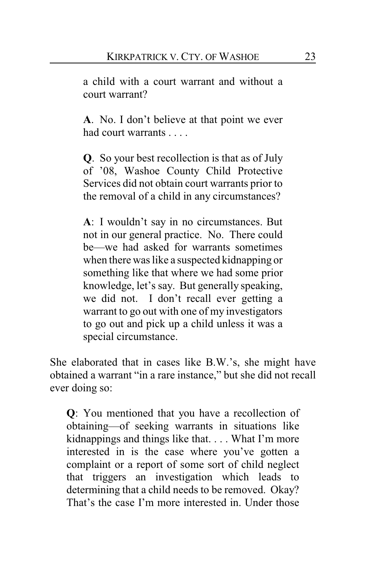a child with a court warrant and without a court warrant?

**A**. No. I don't believe at that point we ever had court warrants . . . .

**Q**. So your best recollection is that as of July of '08, Washoe County Child Protective Services did not obtain court warrants prior to the removal of a child in any circumstances?

**A**: I wouldn't say in no circumstances. But not in our general practice. No. There could be—we had asked for warrants sometimes when there was like a suspected kidnapping or something like that where we had some prior knowledge, let's say. But generally speaking, we did not. I don't recall ever getting a warrant to go out with one of my investigators to go out and pick up a child unless it was a special circumstance.

She elaborated that in cases like B.W.'s, she might have obtained a warrant "in a rare instance," but she did not recall ever doing so:

**Q**: You mentioned that you have a recollection of obtaining—of seeking warrants in situations like kidnappings and things like that. . . . What I'm more interested in is the case where you've gotten a complaint or a report of some sort of child neglect that triggers an investigation which leads to determining that a child needs to be removed. Okay? That's the case I'm more interested in. Under those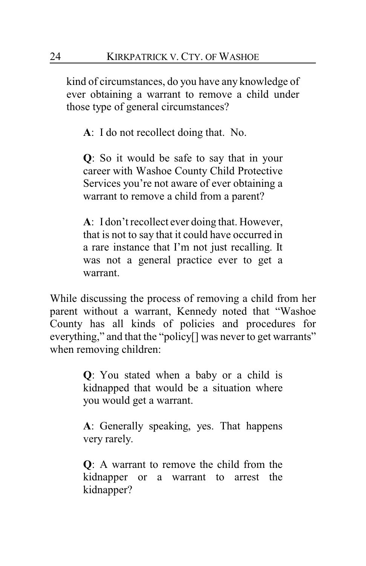kind of circumstances, do you have any knowledge of ever obtaining a warrant to remove a child under those type of general circumstances?

**A**: I do not recollect doing that. No.

**Q**: So it would be safe to say that in your career with Washoe County Child Protective Services you're not aware of ever obtaining a warrant to remove a child from a parent?

**A**: I don't recollect ever doing that. However, that is not to say that it could have occurred in a rare instance that I'm not just recalling. It was not a general practice ever to get a warrant.

While discussing the process of removing a child from her parent without a warrant, Kennedy noted that "Washoe County has all kinds of policies and procedures for everything," and that the "policy<sup>[]</sup> was never to get warrants" when removing children:

> **Q**: You stated when a baby or a child is kidnapped that would be a situation where you would get a warrant.

> **A**: Generally speaking, yes. That happens very rarely.

> **Q**: A warrant to remove the child from the kidnapper or a warrant to arrest the kidnapper?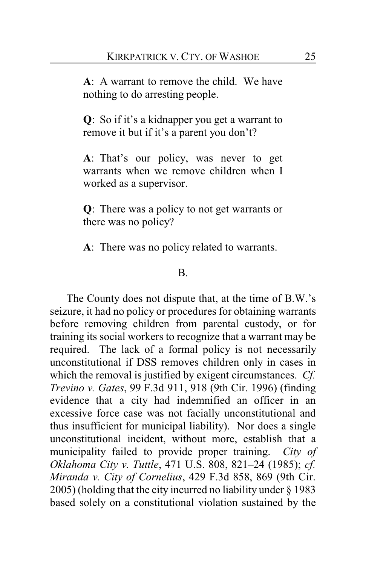**A**: A warrant to remove the child. We have nothing to do arresting people.

**Q**: So if it's a kidnapper you get a warrant to remove it but if it's a parent you don't?

**A**: That's our policy, was never to get warrants when we remove children when I worked as a supervisor.

**Q**: There was a policy to not get warrants or there was no policy?

**A**: There was no policy related to warrants.

#### B.

The County does not dispute that, at the time of B.W.'s seizure, it had no policy or procedures for obtaining warrants before removing children from parental custody, or for training its social workers to recognize that a warrant may be required. The lack of a formal policy is not necessarily unconstitutional if DSS removes children only in cases in which the removal is justified by exigent circumstances. *Cf. Trevino v. Gates*, 99 F.3d 911, 918 (9th Cir. 1996) (finding evidence that a city had indemnified an officer in an excessive force case was not facially unconstitutional and thus insufficient for municipal liability). Nor does a single unconstitutional incident, without more, establish that a municipality failed to provide proper training. *City of Oklahoma City v. Tuttle*, 471 U.S. 808, 821–24 (1985); *cf. Miranda v. City of Cornelius*, 429 F.3d 858, 869 (9th Cir. 2005) (holding that the city incurred no liability under § 1983 based solely on a constitutional violation sustained by the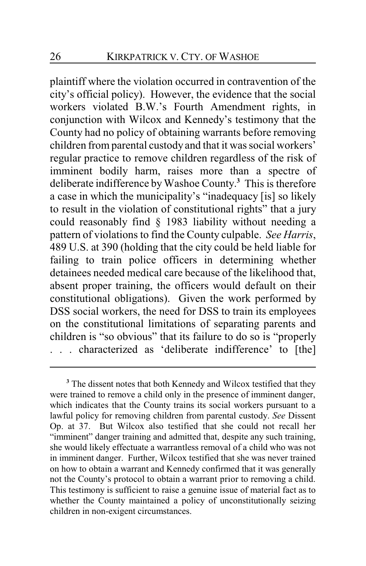plaintiff where the violation occurred in contravention of the city's official policy). However, the evidence that the social workers violated B.W.'s Fourth Amendment rights, in conjunction with Wilcox and Kennedy's testimony that the County had no policy of obtaining warrants before removing children from parental custody and that it was social workers' regular practice to remove children regardless of the risk of imminent bodily harm, raises more than a spectre of deliberate indifference by Washoe County. **<sup>3</sup>** This is therefore a case in which the municipality's "inadequacy [is] so likely to result in the violation of constitutional rights" that a jury could reasonably find § 1983 liability without needing a pattern of violations to find the County culpable. *See Harris*, 489 U.S. at 390 (holding that the city could be held liable for failing to train police officers in determining whether detainees needed medical care because of the likelihood that, absent proper training, the officers would default on their constitutional obligations). Given the work performed by DSS social workers, the need for DSS to train its employees on the constitutional limitations of separating parents and children is "so obvious" that its failure to do so is "properly ... characterized as 'deliberate indifference' to [the]

**<sup>3</sup>** The dissent notes that both Kennedy and Wilcox testified that they were trained to remove a child only in the presence of imminent danger, which indicates that the County trains its social workers pursuant to a lawful policy for removing children from parental custody. *See* Dissent Op. at 37. But Wilcox also testified that she could not recall her "imminent" danger training and admitted that, despite any such training, she would likely effectuate a warrantless removal of a child who was not in imminent danger. Further, Wilcox testified that she was never trained on how to obtain a warrant and Kennedy confirmed that it was generally not the County's protocol to obtain a warrant prior to removing a child. This testimony is sufficient to raise a genuine issue of material fact as to whether the County maintained a policy of unconstitutionally seizing children in non-exigent circumstances.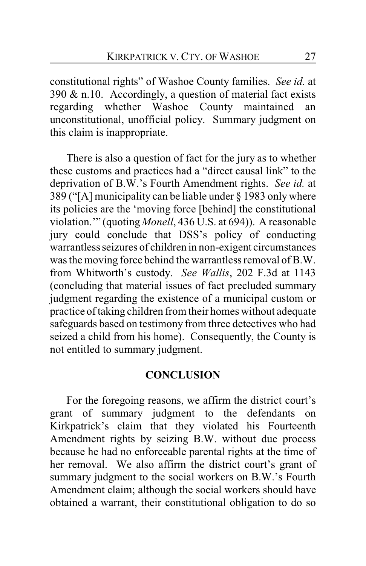constitutional rights" of Washoe County families. *See id.* at 390 & n.10. Accordingly, a question of material fact exists regarding whether Washoe County maintained an unconstitutional, unofficial policy. Summary judgment on this claim is inappropriate.

There is also a question of fact for the jury as to whether these customs and practices had a "direct causal link" to the deprivation of B.W.'s Fourth Amendment rights. *See id.* at 389 ("[A] municipality can be liable under § 1983 only where its policies are the 'moving force [behind] the constitutional violation.'" (quoting *Monell*, 436 U.S. at 694)). A reasonable jury could conclude that DSS's policy of conducting warrantless seizures of children in non-exigent circumstances was the moving force behind the warrantless removal of B.W. from Whitworth's custody. *See Wallis*, 202 F.3d at 1143 (concluding that material issues of fact precluded summary judgment regarding the existence of a municipal custom or practice of taking children from their homes without adequate safeguards based on testimony from three detectives who had seized a child from his home). Consequently, the County is not entitled to summary judgment.

## **CONCLUSION**

For the foregoing reasons, we affirm the district court's grant of summary judgment to the defendants on Kirkpatrick's claim that they violated his Fourteenth Amendment rights by seizing B.W. without due process because he had no enforceable parental rights at the time of her removal. We also affirm the district court's grant of summary judgment to the social workers on B.W.'s Fourth Amendment claim; although the social workers should have obtained a warrant, their constitutional obligation to do so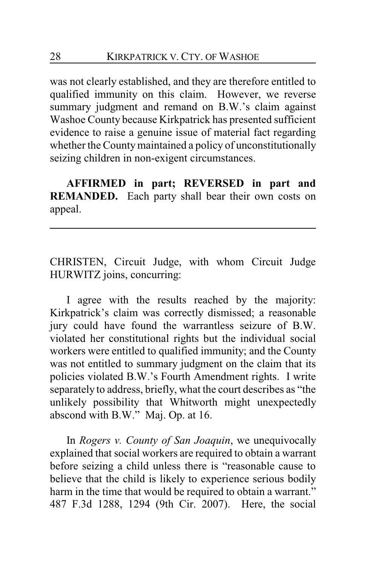was not clearly established, and they are therefore entitled to qualified immunity on this claim. However, we reverse summary judgment and remand on B.W.'s claim against Washoe County because Kirkpatrick has presented sufficient evidence to raise a genuine issue of material fact regarding whether the County maintained a policy of unconstitutionally seizing children in non-exigent circumstances.

**AFFIRMED in part; REVERSED in part and REMANDED.** Each party shall bear their own costs on appeal.

CHRISTEN, Circuit Judge, with whom Circuit Judge HURWITZ joins, concurring:

I agree with the results reached by the majority: Kirkpatrick's claim was correctly dismissed; a reasonable jury could have found the warrantless seizure of B.W. violated her constitutional rights but the individual social workers were entitled to qualified immunity; and the County was not entitled to summary judgment on the claim that its policies violated B.W.'s Fourth Amendment rights. I write separately to address, briefly, what the court describes as "the unlikely possibility that Whitworth might unexpectedly abscond with B.W." Maj. Op. at 16.

In *Rogers v. County of San Joaquin*, we unequivocally explained that social workers are required to obtain a warrant before seizing a child unless there is "reasonable cause to believe that the child is likely to experience serious bodily harm in the time that would be required to obtain a warrant." 487 F.3d 1288, 1294 (9th Cir. 2007). Here, the social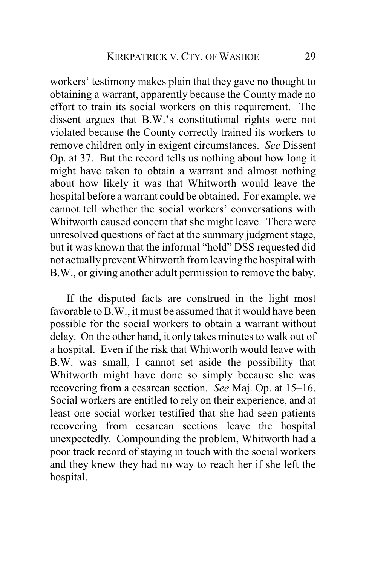workers' testimony makes plain that they gave no thought to obtaining a warrant, apparently because the County made no effort to train its social workers on this requirement. The dissent argues that B.W.'s constitutional rights were not violated because the County correctly trained its workers to remove children only in exigent circumstances. *See* Dissent Op. at 37. But the record tells us nothing about how long it might have taken to obtain a warrant and almost nothing about how likely it was that Whitworth would leave the hospital before a warrant could be obtained. For example, we cannot tell whether the social workers' conversations with Whitworth caused concern that she might leave. There were unresolved questions of fact at the summary judgment stage, but it was known that the informal "hold" DSS requested did not actuallyprevent Whitworth from leaving the hospital with B.W., or giving another adult permission to remove the baby.

If the disputed facts are construed in the light most favorable to B.W., it must be assumed that it would have been possible for the social workers to obtain a warrant without delay. On the other hand, it only takes minutes to walk out of a hospital. Even if the risk that Whitworth would leave with B.W. was small, I cannot set aside the possibility that Whitworth might have done so simply because she was recovering from a cesarean section. *See* Maj. Op. at 15–16. Social workers are entitled to rely on their experience, and at least one social worker testified that she had seen patients recovering from cesarean sections leave the hospital unexpectedly. Compounding the problem, Whitworth had a poor track record of staying in touch with the social workers and they knew they had no way to reach her if she left the hospital.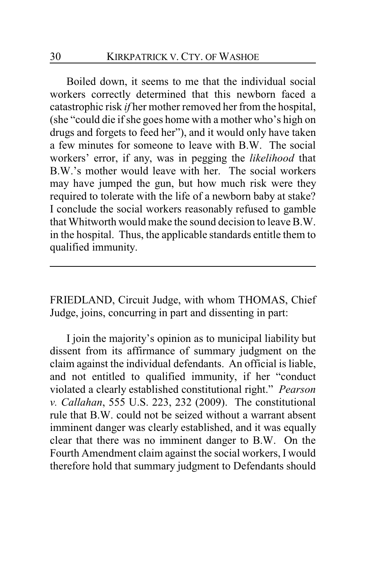Boiled down, it seems to me that the individual social workers correctly determined that this newborn faced a catastrophic risk *if* her mother removed her from the hospital, (she "could die if she goes home with a mother who's high on drugs and forgets to feed her"), and it would only have taken a few minutes for someone to leave with B.W. The social workers' error, if any, was in pegging the *likelihood* that B.W.'s mother would leave with her. The social workers may have jumped the gun, but how much risk were they required to tolerate with the life of a newborn baby at stake? I conclude the social workers reasonably refused to gamble that Whitworth would make the sound decision to leave B.W. in the hospital. Thus, the applicable standards entitle them to qualified immunity.

FRIEDLAND, Circuit Judge, with whom THOMAS, Chief Judge, joins, concurring in part and dissenting in part:

I join the majority's opinion as to municipal liability but dissent from its affirmance of summary judgment on the claim against the individual defendants. An official is liable, and not entitled to qualified immunity, if her "conduct violated a clearly established constitutional right." *Pearson v. Callahan*, 555 U.S. 223, 232 (2009). The constitutional rule that B.W. could not be seized without a warrant absent imminent danger was clearly established, and it was equally clear that there was no imminent danger to B.W. On the Fourth Amendment claim against the social workers, I would therefore hold that summary judgment to Defendants should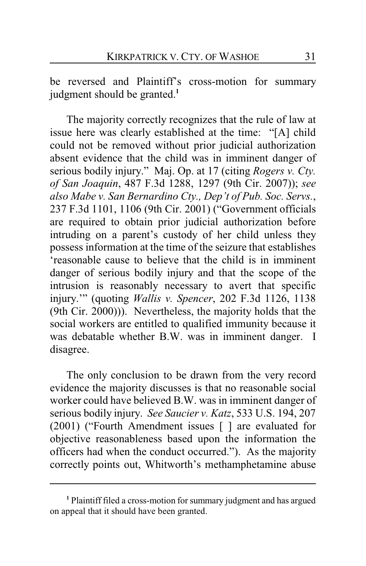be reversed and Plaintiff's cross-motion for summary judgment should be granted.**<sup>1</sup>**

The majority correctly recognizes that the rule of law at issue here was clearly established at the time: "[A] child could not be removed without prior judicial authorization absent evidence that the child was in imminent danger of serious bodily injury." Maj. Op. at 17 (citing *Rogers v. Cty. of San Joaquin*, 487 F.3d 1288, 1297 (9th Cir. 2007)); *see also Mabe v. San Bernardino Cty., Dep't of Pub. Soc. Servs.*, 237 F.3d 1101, 1106 (9th Cir. 2001) ("Government officials are required to obtain prior judicial authorization before intruding on a parent's custody of her child unless they possess information at the time of the seizure that establishes 'reasonable cause to believe that the child is in imminent danger of serious bodily injury and that the scope of the intrusion is reasonably necessary to avert that specific injury.'" (quoting *Wallis v. Spencer*, 202 F.3d 1126, 1138 (9th Cir. 2000))). Nevertheless, the majority holds that the social workers are entitled to qualified immunity because it was debatable whether B.W. was in imminent danger. I disagree.

The only conclusion to be drawn from the very record evidence the majority discusses is that no reasonable social worker could have believed B.W. was in imminent danger of serious bodily injury. *See Saucier v. Katz*, 533 U.S. 194, 207 (2001) ("Fourth Amendment issues [ ] are evaluated for objective reasonableness based upon the information the officers had when the conduct occurred."). As the majority correctly points out, Whitworth's methamphetamine abuse

**<sup>1</sup>** Plaintiff filed a cross-motion for summary judgment and has argued on appeal that it should have been granted.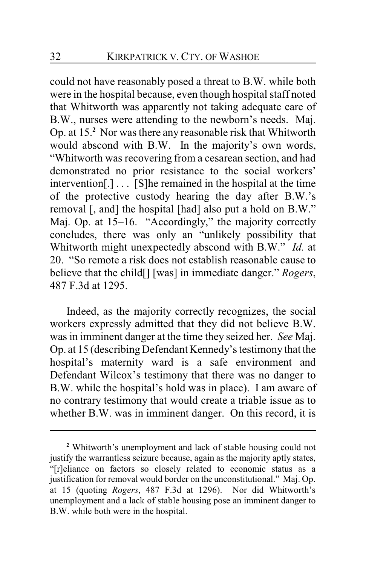could not have reasonably posed a threat to B.W. while both were in the hospital because, even though hospital staff noted that Whitworth was apparently not taking adequate care of B.W., nurses were attending to the newborn's needs. Maj. Op. at 15.**<sup>2</sup>** Nor was there any reasonable risk that Whitworth would abscond with B.W. In the majority's own words, "Whitworth was recovering from a cesarean section, and had demonstrated no prior resistance to the social workers' intervention[.] . . . [S]he remained in the hospital at the time of the protective custody hearing the day after B.W.'s removal [, and] the hospital [had] also put a hold on B.W." Maj. Op. at 15–16. "Accordingly," the majority correctly concludes, there was only an "unlikely possibility that Whitworth might unexpectedly abscond with B.W." *Id.* at 20. "So remote a risk does not establish reasonable cause to believe that the child[] [was] in immediate danger." *Rogers*, 487 F.3d at 1295.

Indeed, as the majority correctly recognizes, the social workers expressly admitted that they did not believe B.W. was in imminent danger at the time they seized her. *See* Maj. Op. at 15 (describingDefendant Kennedy's testimony that the hospital's maternity ward is a safe environment and Defendant Wilcox's testimony that there was no danger to B.W. while the hospital's hold was in place). I am aware of no contrary testimony that would create a triable issue as to whether B.W. was in imminent danger. On this record, it is

**<sup>2</sup>** Whitworth's unemployment and lack of stable housing could not justify the warrantless seizure because, again as the majority aptly states, "[r]eliance on factors so closely related to economic status as a justification for removal would border on the unconstitutional." Maj. Op. at 15 (quoting *Rogers*, 487 F.3d at 1296). Nor did Whitworth's unemployment and a lack of stable housing pose an imminent danger to B.W. while both were in the hospital.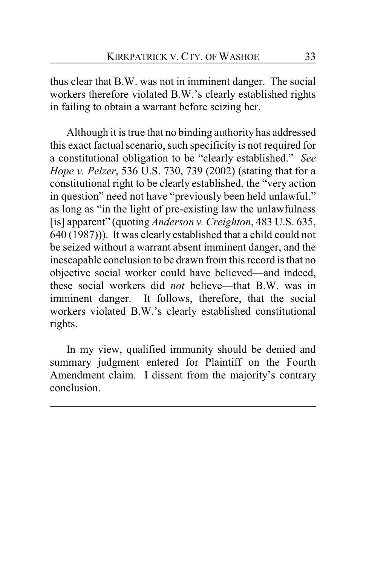thus clear that B.W. was not in imminent danger. The social workers therefore violated B.W.'s clearly established rights in failing to obtain a warrant before seizing her.

Although it is true that no binding authority has addressed this exact factual scenario, such specificity is not required for a constitutional obligation to be "clearly established." *See Hope v. Pelzer*, 536 U.S. 730, 739 (2002) (stating that for a constitutional right to be clearly established, the "very action in question" need not have "previously been held unlawful," as long as "in the light of pre-existing law the unlawfulness [is] apparent" (quoting *Anderson v. Creighton*, 483 U.S. 635, 640 (1987))). It was clearly established that a child could not be seized without a warrant absent imminent danger, and the inescapable conclusion to be drawn from this record is that no objective social worker could have believed—and indeed, these social workers did *not* believe—that B.W. was in imminent danger. It follows, therefore, that the social workers violated B.W.'s clearly established constitutional rights.

In my view, qualified immunity should be denied and summary judgment entered for Plaintiff on the Fourth Amendment claim. I dissent from the majority's contrary conclusion.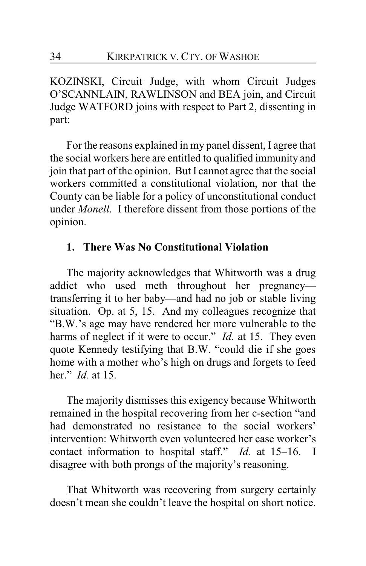KOZINSKI, Circuit Judge, with whom Circuit Judges O'SCANNLAIN, RAWLINSON and BEA join, and Circuit Judge WATFORD joins with respect to Part 2, dissenting in part:

For the reasons explained in my panel dissent, I agree that the social workers here are entitled to qualified immunity and join that part of the opinion. But I cannot agree that the social workers committed a constitutional violation, nor that the County can be liable for a policy of unconstitutional conduct under *Monell*. I therefore dissent from those portions of the opinion.

## **1. There Was No Constitutional Violation**

The majority acknowledges that Whitworth was a drug addict who used meth throughout her pregnancy transferring it to her baby—and had no job or stable living situation. Op. at 5, 15. And my colleagues recognize that "B.W.'s age may have rendered her more vulnerable to the harms of neglect if it were to occur." *Id.* at 15. They even quote Kennedy testifying that B.W. "could die if she goes home with a mother who's high on drugs and forgets to feed her." *Id.* at 15.

The majority dismisses this exigency because Whitworth remained in the hospital recovering from her c-section "and had demonstrated no resistance to the social workers' intervention: Whitworth even volunteered her case worker's contact information to hospital staff." *Id.* at 15–16. I disagree with both prongs of the majority's reasoning.

That Whitworth was recovering from surgery certainly doesn't mean she couldn't leave the hospital on short notice.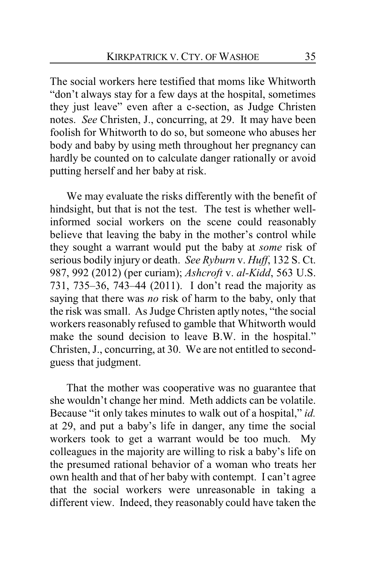The social workers here testified that moms like Whitworth "don't always stay for a few days at the hospital, sometimes they just leave" even after a c-section, as Judge Christen notes. *See* Christen, J., concurring, at 29. It may have been foolish for Whitworth to do so, but someone who abuses her body and baby by using meth throughout her pregnancy can hardly be counted on to calculate danger rationally or avoid putting herself and her baby at risk.

We may evaluate the risks differently with the benefit of hindsight, but that is not the test. The test is whether wellinformed social workers on the scene could reasonably believe that leaving the baby in the mother's control while they sought a warrant would put the baby at *some* risk of serious bodily injury or death. *See Ryburn* v. *Huff*, 132 S. Ct. 987, 992 (2012) (per curiam); *Ashcroft* v. *al-Kidd*, 563 U.S. 731, 735–36, 743–44 (2011). I don't read the majority as saying that there was *no* risk of harm to the baby, only that the risk was small. As Judge Christen aptly notes, "the social workers reasonably refused to gamble that Whitworth would make the sound decision to leave B.W. in the hospital." Christen, J., concurring, at 30. We are not entitled to secondguess that judgment.

That the mother was cooperative was no guarantee that she wouldn't change her mind. Meth addicts can be volatile. Because "it only takes minutes to walk out of a hospital," *id.* at 29, and put a baby's life in danger, any time the social workers took to get a warrant would be too much. My colleagues in the majority are willing to risk a baby's life on the presumed rational behavior of a woman who treats her own health and that of her baby with contempt. I can't agree that the social workers were unreasonable in taking a different view. Indeed, they reasonably could have taken the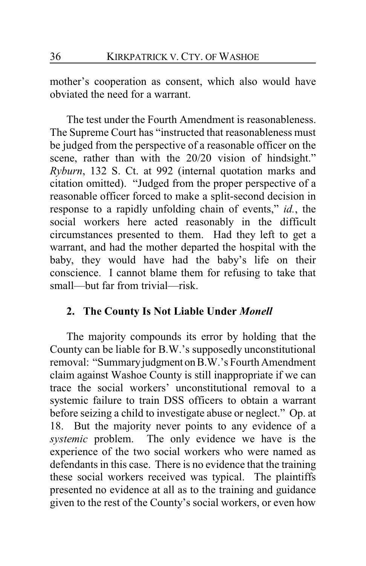mother's cooperation as consent, which also would have obviated the need for a warrant.

The test under the Fourth Amendment is reasonableness. The Supreme Court has "instructed that reasonableness must be judged from the perspective of a reasonable officer on the scene, rather than with the 20/20 vision of hindsight." *Ryburn*, 132 S. Ct. at 992 (internal quotation marks and citation omitted). "Judged from the proper perspective of a reasonable officer forced to make a split-second decision in response to a rapidly unfolding chain of events," *id.*, the social workers here acted reasonably in the difficult circumstances presented to them. Had they left to get a warrant, and had the mother departed the hospital with the baby, they would have had the baby's life on their conscience. I cannot blame them for refusing to take that small—but far from trivial—risk.

# **2. The County Is Not Liable Under** *Monell*

The majority compounds its error by holding that the County can be liable for B.W.'s supposedly unconstitutional removal: "Summaryjudgment onB.W.'s Fourth Amendment claim against Washoe County is still inappropriate if we can trace the social workers' unconstitutional removal to a systemic failure to train DSS officers to obtain a warrant before seizing a child to investigate abuse or neglect." Op. at 18. But the majority never points to any evidence of a *systemic* problem. The only evidence we have is the experience of the two social workers who were named as defendants in this case. There is no evidence that the training these social workers received was typical. The plaintiffs presented no evidence at all as to the training and guidance given to the rest of the County's social workers, or even how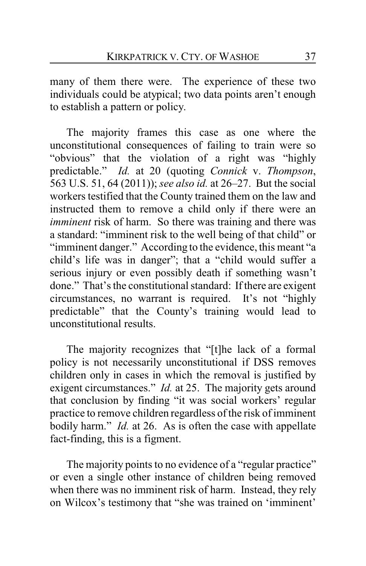many of them there were. The experience of these two individuals could be atypical; two data points aren't enough to establish a pattern or policy.

The majority frames this case as one where the unconstitutional consequences of failing to train were so "obvious" that the violation of a right was "highly predictable." *Id.* at 20 (quoting *Connick* v. *Thompson*, 563 U.S. 51, 64 (2011)); *see also id.* at 26–27. But the social workers testified that the County trained them on the law and instructed them to remove a child only if there were an *imminent* risk of harm. So there was training and there was a standard: "imminent risk to the well being of that child" or "imminent danger." According to the evidence, this meant "a child's life was in danger"; that a "child would suffer a serious injury or even possibly death if something wasn't done." That's the constitutional standard: If there are exigent circumstances, no warrant is required. It's not "highly predictable" that the County's training would lead to unconstitutional results.

The majority recognizes that "[t]he lack of a formal policy is not necessarily unconstitutional if DSS removes children only in cases in which the removal is justified by exigent circumstances." *Id.* at 25. The majority gets around that conclusion by finding "it was social workers' regular practice to remove children regardless of the risk of imminent bodily harm." *Id.* at 26. As is often the case with appellate fact-finding, this is a figment.

The majority points to no evidence of a "regular practice" or even a single other instance of children being removed when there was no imminent risk of harm. Instead, they rely on Wilcox's testimony that "she was trained on 'imminent'